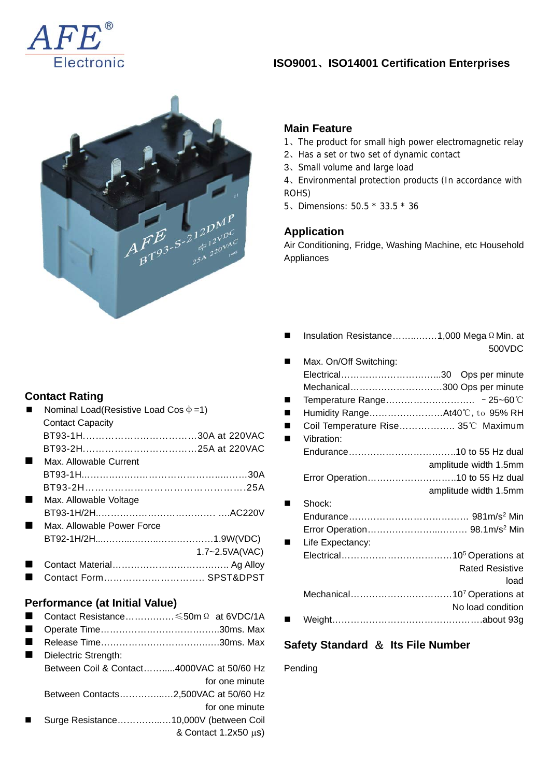

#### **ISO9001**、**ISO14001 Certification Enterprises**



#### **Main Feature**

- 1、The product for small high power electromagnetic relay
- 2、Has a set or two set of dynamic contact
- 3、Small volume and large load

4、Environmental protection products (In accordance with ROHS)

5、Dimensions: 50.5 \* 33.5 \* 36

### **Application**

Air Conditioning, Fridge, Washing Machine, etc Household Appliances

| Insulation Resistance1,000 Mega Ω Min. at |                        |
|-------------------------------------------|------------------------|
|                                           | 500VDC                 |
| Max. On/Off Switching:                    |                        |
|                                           |                        |
| Mechanical300 Ops per minute              |                        |
|                                           |                        |
| Humidity RangeAt40°C, to 95% RH           |                        |
| Coil Temperature Rise 35°C Maximum        |                        |
| Vibration:                                |                        |
|                                           |                        |
|                                           | amplitude width 1.5mm  |
| Error Operation10 to 55 Hz dual           |                        |
|                                           | amplitude width 1.5mm  |
| Shock:                                    |                        |
|                                           |                        |
|                                           |                        |
| Life Expectancy:                          |                        |
|                                           |                        |
|                                           | <b>Rated Resistive</b> |
|                                           | load                   |
|                                           |                        |
|                                           | No load condition      |
|                                           |                        |
|                                           |                        |

# **Safety Standard** & **Its File Number**

#### Pending

### **Contact Rating**

|   | Nominal Load(Resistive Load Cos $\Phi$ =1) |                    |
|---|--------------------------------------------|--------------------|
|   | <b>Contact Capacity</b>                    |                    |
|   | BT93-1H30A at 220VAC                       |                    |
|   |                                            |                    |
| ш | Max. Allowable Current                     |                    |
|   |                                            |                    |
|   |                                            |                    |
| ш | Max. Allowable Voltage                     |                    |
|   |                                            |                    |
|   | Max. Allowable Power Force                 |                    |
|   |                                            |                    |
|   |                                            | $1.7 - 2.5VA(VAC)$ |
|   |                                            |                    |
|   |                                            |                    |

■ Contact Form……………………………… SPST&DPST

#### **Performance (at Initial Value)**

- Contact Resistance……….……≤50mΩ at 6VDC/1A
- Operate Time………………………….……..30ms. Max
- Release Time……………………………..….30ms. Max Dielectric Strength:

|                | Dielectric Strength.                      |
|----------------|-------------------------------------------|
|                | Between Coil & Contact4000VAC at 50/60 Hz |
|                | for one minute                            |
|                | Between Contacts2,500VAC at 50/60 Hz      |
|                | for one minute                            |
| $\blacksquare$ | Surge Resistance10,000V (between Coil     |
|                | & Contact $1.2x50 \mu s$ )                |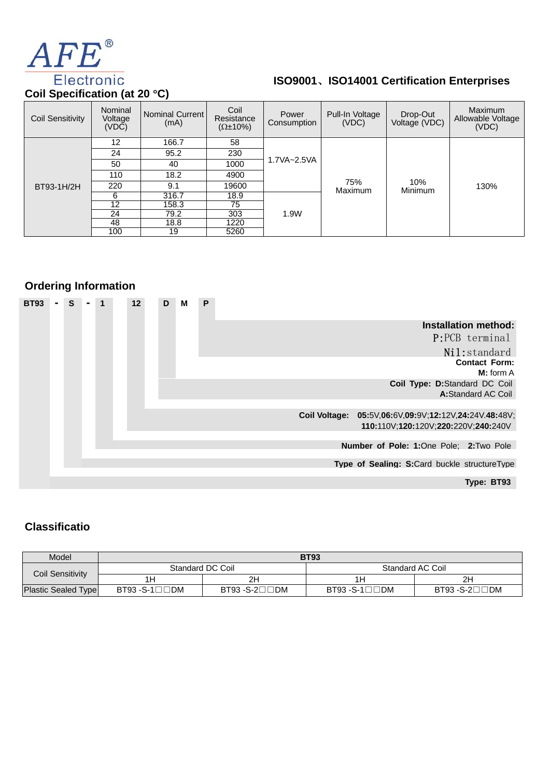

# **ISO9001**、**ISO14001 Certification Enterprises**

| <b>COIL Opechication (at 20 C)</b> |                             |                         |                                           |                      |                          |                           |                                              |  |
|------------------------------------|-----------------------------|-------------------------|-------------------------------------------|----------------------|--------------------------|---------------------------|----------------------------------------------|--|
| <b>Coil Sensitivity</b>            | Nominal<br>Voltage<br>(VDC) | Nominal Current<br>(mA) | Coil<br>Resistance<br>$(\Omega \pm 10\%)$ | Power<br>Consumption | Pull-In Voltage<br>(VDC) | Drop-Out<br>Voltage (VDC) | <b>Maximum</b><br>Allowable Voltage<br>(VDC) |  |
|                                    | 12                          | 166.7                   | 58                                        |                      | 75%<br>Maximum           | 10%<br>Minimum            | 130%                                         |  |
|                                    | 24                          | 95.2                    | 230                                       | 1.7VA~2.5VA          |                          |                           |                                              |  |
|                                    | 50                          | 40                      | 1000                                      |                      |                          |                           |                                              |  |
|                                    | 110                         | 18.2                    | 4900                                      |                      |                          |                           |                                              |  |
| BT93-1H/2H                         | 220                         | 9.1                     | 19600                                     |                      |                          |                           |                                              |  |
|                                    | 6                           | 316.7                   | 18.9                                      |                      |                          |                           |                                              |  |
|                                    | 12                          | 158.3                   | 75                                        | 1.9W                 |                          |                           |                                              |  |
|                                    | 24                          | 79.2                    | 303                                       |                      |                          |                           |                                              |  |
|                                    | 48                          | 18.8                    | 1220                                      |                      |                          |                           |                                              |  |
|                                    | 100                         | 19                      | 5260                                      |                      |                          |                           |                                              |  |

# **Ordering Information**

|                                                                                              | P | м | D | 12 | 1 | S | <b>BT93</b> |
|----------------------------------------------------------------------------------------------|---|---|---|----|---|---|-------------|
| <b>Installation method:</b><br>P:PCB terminal<br>Nil:standard                                |   |   |   |    |   |   |             |
| <b>Contact Form:</b><br>$M:$ form $A$                                                        |   |   |   |    |   |   |             |
| Coil Type: D:Standard DC Coil<br>A:Standard AC Coil                                          |   |   |   |    |   |   |             |
| Coil Voltage: 05:5V,06:6V,09:9V;12:12V,24:24V.48:48V;<br>110:110V;120:120V;220:220V;240:240V |   |   |   |    |   |   |             |
| Number of Pole: 1:One Pole: 2:Two Pole                                                       |   |   |   |    |   |   |             |
| Type of Sealing: S:Card buckle structureType                                                 |   |   |   |    |   |   |             |
| Type: BT93                                                                                   |   |   |   |    |   |   |             |

## **Classificatio**

| Model                      | <b>BT93</b>                     |                  |                  |               |  |  |  |  |  |
|----------------------------|---------------------------------|------------------|------------------|---------------|--|--|--|--|--|
| Coil Sensitivity           |                                 | Standard DC Coil | Standard AC Coil |               |  |  |  |  |  |
|                            | 1 Н                             | 2H               |                  | 2H            |  |  |  |  |  |
| <b>Plastic Sealed Type</b> | $BT93 - S-1$ $\Box$ $\Box$ $DM$ | BT93 -S-2□□DM    | $BT93 - S-1$     | BT93 -S-2□□DM |  |  |  |  |  |